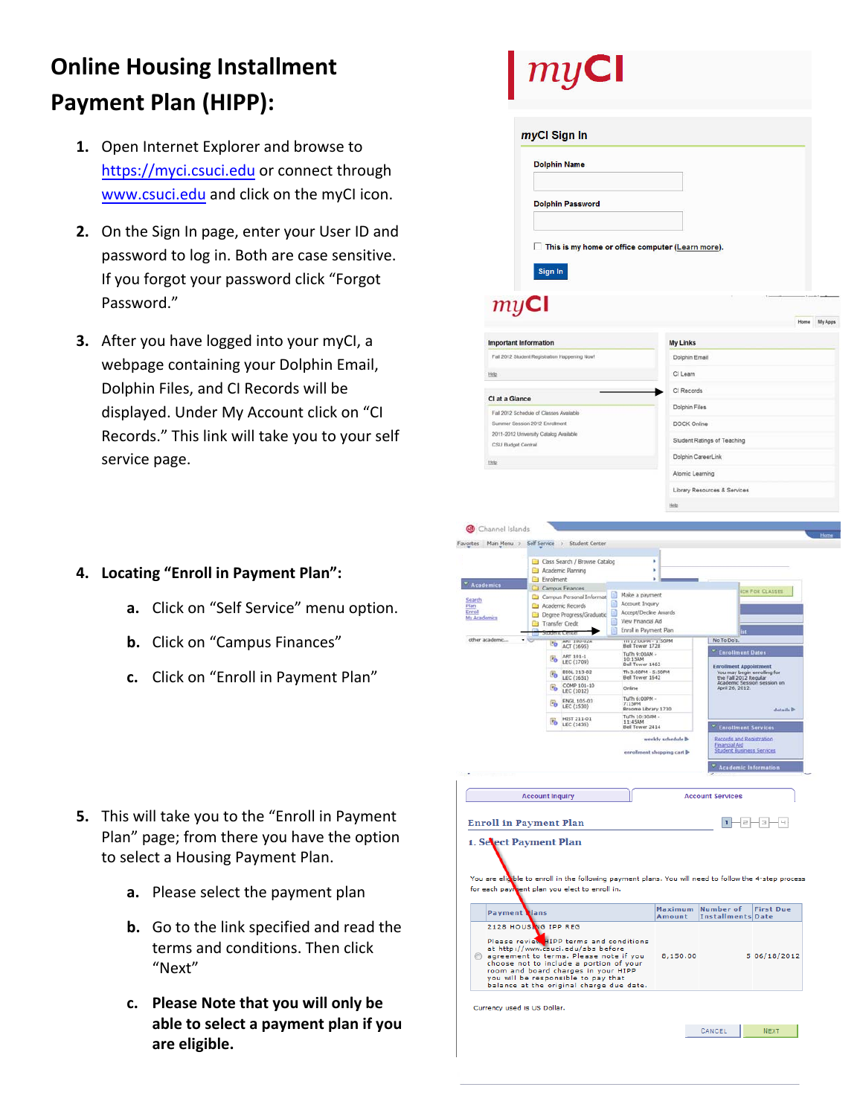## **Online Housing Installment Payment Plan (HIPP):**

- **1.** Open Internet Explorer and browse to https[://myc](http://mycsuci.edu/)i.csuci.edu or connect through [www.csuci.edu](http://www.csuci.edu/) and click on the myCI icon.
- **2.** On the Sign In page, enter your User ID and password to log in. Both are case sensitive. If you forgot your password click "Forgot Password."
- **3.** After you have logged into your myCI, a webpage containing your Dolphin Email, Dolphin Files, and CI Records will be displayed. Under My Account click on "CI Records." This link will take you to your self service page.

## **4. Locating "Enroll in Payment Plan":**

- **a.** Click on "Self Service" menu option.
- **b.** Click on "Campus Finances"
- **c.** Click on "Enroll in Payment Plan"

- **5.** This will take you to the "Enroll in Payment Plan" page; from there you have the option to select a Housing Payment Plan.
	- **a.** Please select the payment plan
	- **b.** Go to the link specified and read the terms and conditions. Then click "Next"
	- **c. Please Note that you will only be able to select a payment plan if you are eligible.**

|                                                   | myCl Sign In                                                                                                                        |                                                                                           |                            |                                                                                                               |
|---------------------------------------------------|-------------------------------------------------------------------------------------------------------------------------------------|-------------------------------------------------------------------------------------------|----------------------------|---------------------------------------------------------------------------------------------------------------|
|                                                   | <b>Dolphin Name</b>                                                                                                                 |                                                                                           |                            |                                                                                                               |
|                                                   | <b>Dolphin Password</b>                                                                                                             |                                                                                           |                            |                                                                                                               |
|                                                   |                                                                                                                                     |                                                                                           |                            |                                                                                                               |
|                                                   | This is my home or office computer (Learn more).<br>Sign In                                                                         |                                                                                           |                            |                                                                                                               |
| myCI                                              |                                                                                                                                     |                                                                                           |                            |                                                                                                               |
|                                                   |                                                                                                                                     |                                                                                           |                            | Home                                                                                                          |
| <b>Important Information</b>                      |                                                                                                                                     |                                                                                           | <b>My Links</b>            |                                                                                                               |
|                                                   | Fall 2012 Student Registration Happening Now!                                                                                       |                                                                                           | Dolphin Email              |                                                                                                               |
| Hide                                              |                                                                                                                                     |                                                                                           | CI Learn                   |                                                                                                               |
|                                                   |                                                                                                                                     |                                                                                           | CI Records                 |                                                                                                               |
| CI at a Glance                                    |                                                                                                                                     |                                                                                           | Dolphin Files              |                                                                                                               |
|                                                   | Fall 2012 Schedule of Classes Available                                                                                             |                                                                                           |                            |                                                                                                               |
|                                                   | Summer Session 2012 Enrolment<br>2011-2012 University Catalog Available                                                             |                                                                                           | DOCK Online                |                                                                                                               |
| CSU Budget Central                                |                                                                                                                                     |                                                                                           |                            | Student Ratings of Teaching                                                                                   |
|                                                   |                                                                                                                                     |                                                                                           |                            | Dolphin CareerLink                                                                                            |
| Help                                              |                                                                                                                                     |                                                                                           |                            |                                                                                                               |
|                                                   |                                                                                                                                     |                                                                                           | Atomic Learning            |                                                                                                               |
|                                                   |                                                                                                                                     |                                                                                           |                            | Library Resources & Services                                                                                  |
|                                                   |                                                                                                                                     |                                                                                           | Help                       |                                                                                                               |
|                                                   | Class Search / Browse Catalog                                                                                                       |                                                                                           | k                          |                                                                                                               |
| <b>Academics</b><br><b>Search</b><br>My Academics | Academic Planning<br>Enrolment<br>Campus Finances<br>Campus Personal Informat<br>Academic Records<br>Đ<br>Degree Progress/Graduatic | s<br>×<br>Make a payment<br>Account Inquiry<br>Accept/Decine Awards<br>View Financial Aid |                            | <b>ICH FOR CLASSES</b>                                                                                        |
|                                                   | Transfer Credit<br>▶<br>erit Ceritics                                                                                               | Enrol in Payment Plan                                                                     |                            |                                                                                                               |
| other academic                                    | <b>PO</b> ACT (1695)                                                                                                                | th 12-Uurin - 1:50PM<br>Bell Tower 1728                                                   |                            | No To Do's                                                                                                    |
|                                                   | ART 101-1                                                                                                                           | TuTh 9:00AM -                                                                             |                            | <sup>*</sup> Enrollment Dates                                                                                 |
|                                                   | <b>Bo</b> LEC (1709)<br>BIOL 213-02<br>锅                                                                                            | 10:15AM<br>Bell Tower 1462<br>Th 3:00PM - 5:50PM                                          |                            | <b>Enrollment Appointment</b>                                                                                 |
|                                                   | COMP 101-10                                                                                                                         | Online                                                                                    |                            | You may begin enrolling for<br>the Fall 2012 Regular<br>Academic Sessi<br>April 26, 2012.<br>ssion session on |
|                                                   | $\overline{v}_0$<br>LEC (1012)<br>ENGL 105-03                                                                                       | TuTh 6:00PM -                                                                             |                            |                                                                                                               |
|                                                   | 屬<br>LEC (1530)                                                                                                                     | 7:15PM<br>Broome Library 1730                                                             |                            | details <sup>b</sup>                                                                                          |
|                                                   | HIST 211-01<br>略<br>LEC (1435)                                                                                                      | TuTh 10:30AM -<br>11:45AM                                                                 |                            |                                                                                                               |
|                                                   |                                                                                                                                     | Bell Tower 2414                                                                           | weekly schedule <b>b</b>   | <b>Enrollment Services</b><br>Records and Registration                                                        |
|                                                   |                                                                                                                                     |                                                                                           | enrollment shopping cart b | <b>Financial Aid</b><br>Student Business Services                                                             |
|                                                   |                                                                                                                                     |                                                                                           |                            | " Academic Information                                                                                        |
|                                                   | <b>Account Inquiry</b>                                                                                                              |                                                                                           |                            | <b>Account Services</b>                                                                                       |
|                                                   | <b>Enroll in Payment Plan</b>                                                                                                       |                                                                                           |                            | T<br>$\equiv$<br>킈<br>Ч                                                                                       |
|                                                   | 1. Sevect Payment Plan                                                                                                              |                                                                                           |                            |                                                                                                               |
|                                                   |                                                                                                                                     |                                                                                           |                            |                                                                                                               |
|                                                   |                                                                                                                                     |                                                                                           |                            | You are eligible to enroll in the following payment plans. You will need to follow the 4-step process         |
|                                                   | for each payment plan you elect to enroll in.                                                                                       |                                                                                           |                            |                                                                                                               |
| <b>Payment dans</b>                               |                                                                                                                                     |                                                                                           | Maximum<br>Amount          | <b>Number of</b><br><b>First Due</b><br><b>Installments Date</b>                                              |
|                                                   | 2128 HOUSING IPP REG                                                                                                                |                                                                                           |                            |                                                                                                               |
|                                                   |                                                                                                                                     |                                                                                           |                            |                                                                                                               |
|                                                   | Please review HIPP terms and conditions<br>at http://www.csuci.edu/sbs before<br>agreement to terms. Please note if you             |                                                                                           | 8,150.00                   | 5 06/18/2012                                                                                                  |
|                                                   | choose not to include a portion of your                                                                                             |                                                                                           |                            |                                                                                                               |
|                                                   | room and board charges in your HIPP<br>you will be responsible to pay that                                                          |                                                                                           |                            |                                                                                                               |
|                                                   | balance at the original charge due date.                                                                                            |                                                                                           |                            |                                                                                                               |